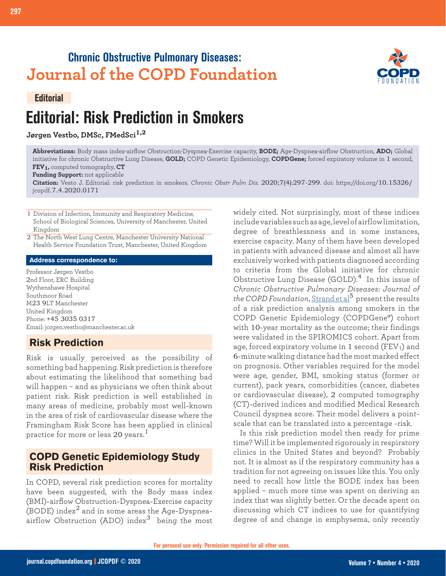## **Chronic Obstructive Pulmonary Diseases: Journal of the COPD Foundation**

#### **Editorial**

# **Editorial: Risk Prediction in Smokers**

## **Jørgen Vestbo, DMSc, FMedSci1,2**



**Abbreviations:** Body mass index-airflow Obstruction-Dyspnea-Exercise capacity, **BODE;** Age-Dyspnea-airflow Obstruction, **ADO;** Global initiative for chronic Obstructive Lung Disease, **GOLD;** COPD Genetic Epidemiology, **COPDGene;** forced expiratory volume in 1 second, **FEV1,** computed tomography, **CT**

**Funding Support:** not applicable

**Citation:** Vesto J. Editorial: risk prediction in smokers. *Chronic Obstr Pulm Dis*. 2020;7(4):297-299. doi: https://doi.org/10.15326/ jcopdf.7.4.2020.0171

1 Division of Infection, Immunity and Respiratory Medicine, School of Biological Sciences, University of Manchester, United Kingdom

2 The North West Lung Centre, Manchester University National Health Service Foundation Trust, Manchester, United Kingdom

#### **Address correspondence to:**

Professor Jørgen Vestbo 2nd Floor, ERC Building Wythenshawe Hospital Southmoor Road M23 9LT Manchester United Kingdom Phone: +45 3035 0317 Email: jorgen.vestbo@manchester.ac.uk

## **Risk Prediction**

Risk is usually perceived as the possibility of something bad happening. Risk prediction is therefore about estimating the likelihood that something bad will happen – and as physicians we often think about patient risk. Risk prediction is well established in many areas of medicine, probably most well-known in the area of risk of cardiovascular disease where the Framingham Risk Score has been applied in clinical practice for more or less 20 years.<sup>1</sup>

## **COPD Genetic Epidemiology Study Risk Prediction**

In COPD, several risk prediction scores for mortality have been suggested, with the Body mass index (BMI)-airflow Obstruction-Dyspnea-Exercise capacity (BODE) index2 and in some areas the Age-Dyspnea- $\alpha$ irflow Obstruction (ADO) index<sup>3</sup> being the most

widely cited. Not surprisingly, most of these indices include variables such as age, level of airflow limitation, degree of breathlessness and in some instances, exercise capacity. Many of them have been developed in patients with advanced disease and almost all have exclusively worked with patients diagnosed according to criteria from the Global initiative for chronic Obstructive Lung Disease (GOLD). $4$  In this issue of *Chronic Obstructive Pulmonary Diseases: Journal of the COPD Foundation*, [Strand et al](https://journal.copdfoundation.org/jcopdf/id/1296/A-Risk-Prediction-Model-for-Mortality-Among-Smokers-in-the-COPDGene-Study)<sup>5</sup> present the results of a risk prediction analysis among smokers in the COPD Genetic Epidemiology (COPDGene®) cohort with 10-year mortality as the outcome; their findings were validated in the SPIROMICS cohort. Apart from age, forced expiratory volume in 1 second (FEV1) and 6-minute walking distance had the most marked effect on prognosis. Other variables required for the model were age, gender, BMI, smoking status (former or current), pack years, comorbidities (cancer, diabetes or cardiovascular disease), 2 computed tomography (CT)-derived indices and modified Medical Research Council dyspnea score. Their model delivers a pointscale that can be translated into a percentage -risk.

Is this risk prediction model then ready for prime time? Will it be implemented rigorously in respiratory clinics in the United States and beyond? Probably not. It is almost as if the respiratory community has a tradition for not agreeing on issues like this. You only need to recall how little the BODE index has been applied – much more time was spent on deriving an index that was slightly better. Or the decade spent on discussing which CT indices to use for quantifying degree of and change in emphysema, only recently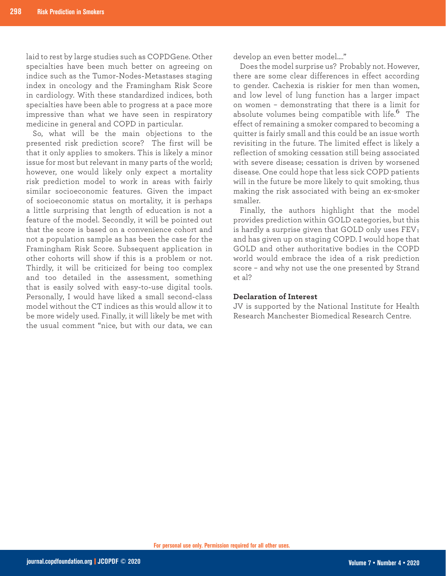laid to rest by large studies such as COPDGene. Other specialties have been much better on agreeing on indice such as the Tumor-Nodes-Metastases staging index in oncology and the Framingham Risk Score in cardiology. With these standardized indices, both specialties have been able to progress at a pace more impressive than what we have seen in respiratory medicine in general and COPD in particular.

So, what will be the main objections to the presented risk prediction score? The first will be that it only applies to smokers. This is likely a minor issue for most but relevant in many parts of the world; however, one would likely only expect a mortality risk prediction model to work in areas with fairly similar socioeconomic features. Given the impact of socioeconomic status on mortality, it is perhaps a little surprising that length of education is not a feature of the model. Secondly, it will be pointed out that the score is based on a convenience cohort and not a population sample as has been the case for the Framingham Risk Score. Subsequent application in other cohorts will show if this is a problem or not. Thirdly, it will be criticized for being too complex and too detailed in the assessment, something that is easily solved with easy-to-use digital tools. Personally, I would have liked a small second-class model without the CT indices as this would allow it to be more widely used. Finally, it will likely be met with the usual comment "nice, but with our data, we can

develop an even better model…."

Does the model surprise us? Probably not. However, there are some clear differences in effect according to gender. Cachexia is riskier for men than women, and low level of lung function has a larger impact on women – demonstrating that there is a limit for absolute volumes being compatible with life.<sup>6</sup> The effect of remaining a smoker compared to becoming a quitter is fairly small and this could be an issue worth revisiting in the future. The limited effect is likely a reflection of smoking cessation still being associated with severe disease; cessation is driven by worsened disease. One could hope that less sick COPD patients will in the future be more likely to quit smoking, thus making the risk associated with being an ex-smoker smaller.

Finally, the authors highlight that the model provides prediction within GOLD categories, but this is hardly a surprise given that GOLD only uses  $FEV<sub>1</sub>$ and has given up on staging COPD. I would hope that GOLD and other authoritative bodies in the COPD world would embrace the idea of a risk prediction score – and why not use the one presented by Strand  $et$ al?

#### **Declaration of Interest**

JV is supported by the National Institute for Health Research Manchester Biomedical Research Centre.